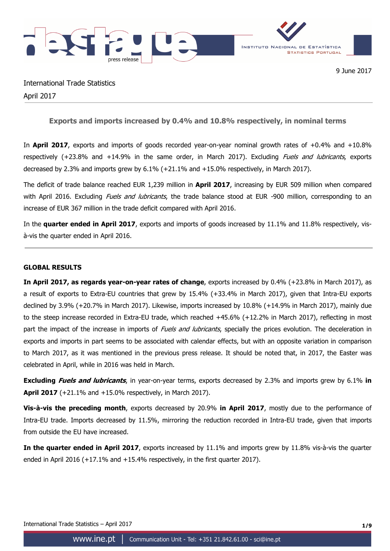

International Trade Statistics April 2017

**Exports and imports increased by 0.4% and 10.8% respectively, in nominal terms** 

In **April 2017**, exports and imports of goods recorded year-on-year nominal growth rates of +0.4% and +10.8% respectively (+23.8% and +14.9% in the same order, in March 2017). Excluding *Fuels and lubricants*, exports decreased by 2.3% and imports grew by 6.1% (+21.1% and +15.0% respectively, in March 2017).

The deficit of trade balance reached EUR 1,239 million in **April 2017**, increasing by EUR 509 million when compared with April 2016. Excluding *Fuels and lubricants*, the trade balance stood at EUR -900 million, corresponding to an increase of EUR 367 million in the trade deficit compared with April 2016.

In the **quarter ended in April 2017**, exports and imports of goods increased by 11.1% and 11.8% respectively, visà-vis the quarter ended in April 2016.

## **GLOBAL RESULTS**

**In April 2017, as regards year-on-year rates of change**, exports increased by 0.4% (+23.8% in March 2017), as a result of exports to Extra-EU countries that grew by 15.4% (+33.4% in March 2017), given that Intra-EU exports declined by 3.9% (+20.7% in March 2017). Likewise, imports increased by 10.8% (+14.9% in March 2017), mainly due to the steep increase recorded in Extra-EU trade, which reached +45.6% (+12.2% in March 2017), reflecting in most part the impact of the increase in imports of Fuels and lubricants, specially the prices evolution. The deceleration in exports and imports in part seems to be associated with calendar effects, but with an opposite variation in comparison to March 2017, as it was mentioned in the previous press release. It should be noted that, in 2017, the Easter was celebrated in April, while in 2016 was held in March.

**Excluding Fuels and lubricants**, in year-on-year terms, exports decreased by 2.3% and imports grew by 6.1% **in April 2017** (+21.1% and +15.0% respectively, in March 2017).

**Vis-à-vis the preceding month**, exports decreased by 20.9% **in April 2017**, mostly due to the performance of Intra-EU trade. Imports decreased by 11.5%, mirroring the reduction recorded in Intra-EU trade, given that imports from outside the EU have increased.

**In the quarter ended in April 2017**, exports increased by 11.1% and imports grew by 11.8% vis-à-vis the quarter ended in April 2016 (+17.1% and +15.4% respectively, in the first quarter 2017).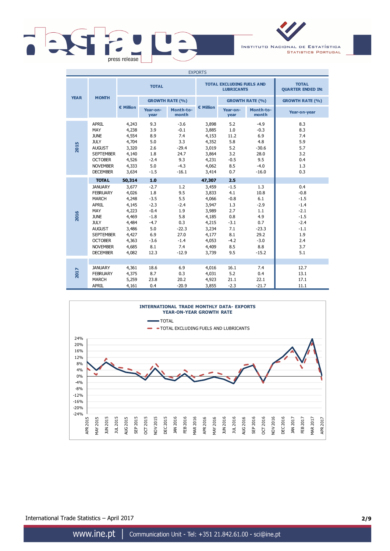

INSTITUTO NACIONAL DE ESTATÍSTICA **STATISTICS PORTUGAL** 

| <b>EXPORTS</b> |                                                                                                                                                                                                                     |                                                                                                                    |                                                                                                               |                                                                                                 |                                                                                                                    |                                                                                                     |                                                                                                  |                                                                                                       |
|----------------|---------------------------------------------------------------------------------------------------------------------------------------------------------------------------------------------------------------------|--------------------------------------------------------------------------------------------------------------------|---------------------------------------------------------------------------------------------------------------|-------------------------------------------------------------------------------------------------|--------------------------------------------------------------------------------------------------------------------|-----------------------------------------------------------------------------------------------------|--------------------------------------------------------------------------------------------------|-------------------------------------------------------------------------------------------------------|
|                |                                                                                                                                                                                                                     |                                                                                                                    | <b>TOTAL</b>                                                                                                  |                                                                                                 |                                                                                                                    | <b>TOTAL EXCLUDING FUELS AND</b><br><b>LUBRICANTS</b>                                               | <b>TOTAL</b><br><b>QUARTER ENDED IN:</b>                                                         |                                                                                                       |
| <b>YEAR</b>    | <b>MONTH</b>                                                                                                                                                                                                        |                                                                                                                    |                                                                                                               | <b>GROWTH RATE (%)</b>                                                                          |                                                                                                                    |                                                                                                     | <b>GROWTH RATE (%)</b>                                                                           | <b>GROWTH RATE (%)</b>                                                                                |
|                |                                                                                                                                                                                                                     | € Million                                                                                                          | Year-on-<br>year                                                                                              | Month-to-<br>month                                                                              | € Million                                                                                                          | Year-on-<br>year                                                                                    | Month-to-<br>month                                                                               | Year-on-year                                                                                          |
| 2015           | <b>APRIL</b><br>MAY<br><b>JUNE</b><br><b>JULY</b><br><b>AUGUST</b><br><b>SEPTEMBER</b><br><b>OCTOBER</b><br><b>NOVEMBER</b><br><b>DECEMBER</b>                                                                      | 4,243<br>4,238<br>4,554<br>4,704<br>3,320<br>4,140<br>4,526<br>4,333<br>3,634                                      | 9.3<br>3.9<br>8.9<br>5.0<br>2.6<br>1.8<br>$-2.4$<br>5.0<br>$-1.5$                                             | $-3.6$<br>$-0.1$<br>7.4<br>3.3<br>$-29.4$<br>24.7<br>9.3<br>$-4.3$<br>$-16.1$                   | 3,898<br>3,885<br>4,153<br>4,352<br>3,019<br>3,864<br>4,231<br>4,062<br>3,414                                      | 5.2<br>1.0<br>11.2<br>5.8<br>5.2<br>3.2<br>$-0.5$<br>8.5<br>0.7                                     | $-4.9$<br>$-0.3$<br>6.9<br>4.8<br>$-30.6$<br>28.0<br>9.5<br>$-4.0$<br>$-16.0$                    | 8.3<br>8.3<br>7.4<br>5.9<br>5.7<br>3.2<br>0.4<br>1.3<br>0.3                                           |
| 2016           | <b>TOTAL</b><br><b>JANUARY</b><br><b>FEBRUARY</b><br><b>MARCH</b><br><b>APRIL</b><br>MAY<br><b>JUNE</b><br><b>JULY</b><br><b>AUGUST</b><br><b>SEPTEMBER</b><br><b>OCTOBER</b><br><b>NOVEMBER</b><br><b>DECEMBER</b> | 50,314<br>3,677<br>4,026<br>4,248<br>4,145<br>4,223<br>4,469<br>4,484<br>3,486<br>4,427<br>4,363<br>4,685<br>4,082 | 1.0<br>$-2.7$<br>1.8<br>$-3.5$<br>$-2.3$<br>$-0.4$<br>$-1.8$<br>$-4.7$<br>5.0<br>6.9<br>$-3.6$<br>8.1<br>12.3 | 1.2<br>9.5<br>5.5<br>$-2.4$<br>1.9<br>5.8<br>0.3<br>$-22.3$<br>27.0<br>$-1.4$<br>7.4<br>$-12.9$ | 47,307<br>3,459<br>3,833<br>4,066<br>3,947<br>3,989<br>4,185<br>4,215<br>3,234<br>4,177<br>4,053<br>4,409<br>3,739 | 2.5<br>$-1.5$<br>4.1<br>$-0.8$<br>1.3<br>2.7<br>0.8<br>$-3.1$<br>7.1<br>8.1<br>$-4.2$<br>8.5<br>9.5 | 1.3<br>10.8<br>6.1<br>$-2.9$<br>1.1<br>4.9<br>0.7<br>$-23.3$<br>29.2<br>$-3.0$<br>8.8<br>$-15.2$ | 0.4<br>$-0.8$<br>$-1.5$<br>$-1.4$<br>$-2.1$<br>$-1.5$<br>$-2.4$<br>$-1.1$<br>1.9<br>2.4<br>3.7<br>5.1 |
| 2017           | <b>JANUARY</b><br><b>FEBRUARY</b><br><b>MARCH</b><br><b>APRIL</b>                                                                                                                                                   | 4,361<br>4,375<br>5,259<br>4,161                                                                                   | 18.6<br>8.7<br>23.8<br>0.4                                                                                    | 6.9<br>0.3<br>20.2<br>$-20.9$                                                                   | 4,016<br>4,031<br>4,923<br>3,855                                                                                   | 16.1<br>5.2<br>21.1<br>$-2.3$                                                                       | 7.4<br>0.4<br>22.1<br>$-21.7$                                                                    | 12.7<br>13.1<br>17.1<br>11.1                                                                          |



International Trade Statistics – April 2017 **2/9**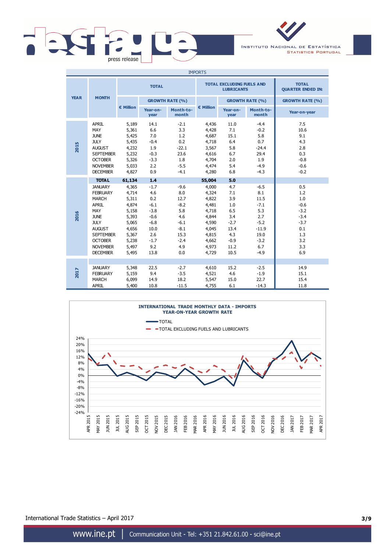

INSTITUTO NACIONAL DE ESTATÍSTICA **STATISTICS PORTUGAL** 

| <b>IMPORTS</b> |                                                                                                                                                                                                              |                                                                                                                    |                                                                                                             |                                                                                                   |                                                                                                                    |                                                                                                  |                                                                                                       |                                                                                              |
|----------------|--------------------------------------------------------------------------------------------------------------------------------------------------------------------------------------------------------------|--------------------------------------------------------------------------------------------------------------------|-------------------------------------------------------------------------------------------------------------|---------------------------------------------------------------------------------------------------|--------------------------------------------------------------------------------------------------------------------|--------------------------------------------------------------------------------------------------|-------------------------------------------------------------------------------------------------------|----------------------------------------------------------------------------------------------|
|                |                                                                                                                                                                                                              | <b>TOTAL</b>                                                                                                       |                                                                                                             |                                                                                                   |                                                                                                                    | <b>TOTAL EXCLUDING FUELS AND</b><br><b>LUBRICANTS</b>                                            | <b>TOTAL</b><br><b>QUARTER ENDED IN:</b>                                                              |                                                                                              |
| <b>YEAR</b>    | <b>MONTH</b>                                                                                                                                                                                                 |                                                                                                                    | <b>GROWTH RATE (%)</b>                                                                                      |                                                                                                   |                                                                                                                    |                                                                                                  | <b>GROWTH RATE (%)</b>                                                                                | <b>GROWTH RATE (%)</b>                                                                       |
|                |                                                                                                                                                                                                              | $\epsilon$ Million                                                                                                 | Year-on-<br>year                                                                                            | Month-to-<br>month                                                                                | € Million                                                                                                          | Year-on-<br>year                                                                                 | Month-to-<br>month                                                                                    | Year-on-year                                                                                 |
| 2015           | <b>APRIL</b><br>MAY<br><b>JUNE</b><br><b>JULY</b><br><b>AUGUST</b><br><b>SEPTEMBER</b><br><b>OCTOBER</b><br><b>NOVEMBER</b><br><b>DECEMBER</b>                                                               | 5,189<br>5,361<br>5,425<br>5,435<br>4,232<br>5,232<br>5,326<br>5,033<br>4,827                                      | 14.1<br>6.6<br>7.0<br>$-0.4$<br>1.9<br>$-0.3$<br>$-3.3$<br>2.2<br>0.9                                       | $-2.1$<br>3.3<br>1.2<br>0.2<br>$-22.1$<br>23.6<br>1.8<br>$-5.5$<br>$-4.1$                         | 4,436<br>4,428<br>4,687<br>4,718<br>3,567<br>4,616<br>4,704<br>4,474<br>4,280                                      | 11.0<br>7.1<br>15.1<br>6.4<br>5.8<br>6.7<br>2.0<br>5.4<br>6.8                                    | $-4.4$<br>$-0.2$<br>5.8<br>0.7<br>$-24.4$<br>29.4<br>1.9<br>$-4.9$<br>$-4.3$                          | 7.5<br>10.6<br>9.1<br>4.3<br>2.8<br>0.3<br>$-0.8$<br>$-0.6$<br>$-0.2$                        |
| 2016           | <b>TOTAL</b><br><b>JANUARY</b><br><b>FEBRUARY</b><br><b>MARCH</b><br>APRIL<br>MAY<br><b>JUNE</b><br><b>JULY</b><br><b>AUGUST</b><br><b>SEPTEMBER</b><br><b>OCTOBER</b><br><b>NOVEMBER</b><br><b>DECEMBER</b> | 61,134<br>4,365<br>4,714<br>5,311<br>4,874<br>5,158<br>5,393<br>5,065<br>4,656<br>5,367<br>5,238<br>5,497<br>5,495 | 1.4<br>$-1.7$<br>4.6<br>0.2<br>$-6.1$<br>$-3.8$<br>$-0.6$<br>$-6.8$<br>10.0<br>2.6<br>$-1.7$<br>9.2<br>13.8 | $-9.6$<br>8.0<br>12.7<br>$-8.2$<br>5.8<br>4.6<br>$-6.1$<br>$-8.1$<br>15.3<br>$-2.4$<br>4.9<br>0.0 | 55,004<br>4,000<br>4,324<br>4,822<br>4,481<br>4,718<br>4,844<br>4,590<br>4,045<br>4,815<br>4,662<br>4,973<br>4,729 | 5.0<br>4.7<br>7.1<br>3.9<br>1.0<br>6.5<br>3.4<br>$-2.7$<br>13.4<br>4.3<br>$-0.9$<br>11.2<br>10.5 | $-6.5$<br>8.1<br>11.5<br>$-7.1$<br>5.3<br>2.7<br>$-5.2$<br>$-11.9$<br>19.0<br>$-3.2$<br>6.7<br>$-4.9$ | 0.5<br>1.2<br>1.0<br>$-0.6$<br>$-3.2$<br>$-3.4$<br>$-3.7$<br>0.1<br>1.3<br>3.2<br>3.3<br>6.9 |
| 2017           | <b>JANUARY</b><br><b>FEBRUARY</b><br><b>MARCH</b><br><b>APRIL</b>                                                                                                                                            | 5,348<br>5,159<br>6,099<br>5,400                                                                                   | 22.5<br>9.4<br>14.9<br>10.8                                                                                 | $-2.7$<br>$-3.5$<br>18.2<br>$-11.5$                                                               | 4,610<br>4,521<br>5,547<br>4,755                                                                                   | 15.2<br>4.6<br>15.0<br>6.1                                                                       | $-2.5$<br>$-1.9$<br>22.7<br>$-14.3$                                                                   | 14.9<br>15.1<br>15.4<br>11.8                                                                 |



International Trade Statistics – April 2017 **3/9**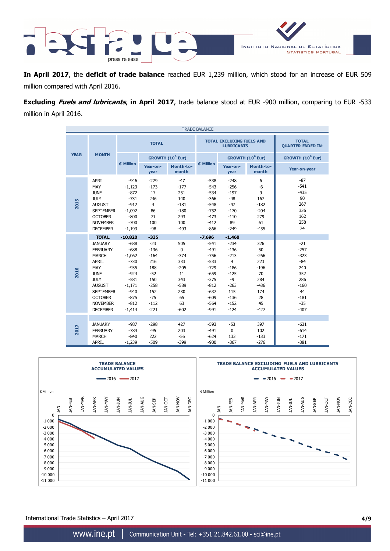

**In April 2017**, the **deficit of trade balance** reached EUR 1,239 million, which stood for an increase of EUR 509 million compared with April 2016.

**Excluding Fuels and lubricants**, **in April 2017**, trade balance stood at EUR -900 million, comparing to EUR -533 million in April 2016.

| <b>TRADE BALANCE</b> |                                                                                                                                                                                                     |                                                                                                                            |                                                                                                       |                                                                                                    |                                                                                                                    |                                                                                                                         |                                                                                          |                                                                                                      |
|----------------------|-----------------------------------------------------------------------------------------------------------------------------------------------------------------------------------------------------|----------------------------------------------------------------------------------------------------------------------------|-------------------------------------------------------------------------------------------------------|----------------------------------------------------------------------------------------------------|--------------------------------------------------------------------------------------------------------------------|-------------------------------------------------------------------------------------------------------------------------|------------------------------------------------------------------------------------------|------------------------------------------------------------------------------------------------------|
| <b>TOTAL</b>         |                                                                                                                                                                                                     |                                                                                                                            | <b>TOTAL EXCLUDING FUELS AND</b><br><b>LUBRICANTS</b>                                                 | <b>TOTAL</b><br><b>QUARTER ENDED IN:</b>                                                           |                                                                                                                    |                                                                                                                         |                                                                                          |                                                                                                      |
| <b>YEAR</b>          | <b>MONTH</b>                                                                                                                                                                                        |                                                                                                                            |                                                                                                       | GROWTH (10 <sup>6</sup> Eur)                                                                       |                                                                                                                    |                                                                                                                         | GROWTH (10 <sup>6</sup> Eur)                                                             | GROWTH (10 <sup>6</sup> Eur)                                                                         |
|                      |                                                                                                                                                                                                     | $\epsilon$ Million                                                                                                         | Year-on-<br>year                                                                                      | Month-to-<br>month                                                                                 | € Million                                                                                                          | Year-on-<br>year                                                                                                        | Month-to-<br>month                                                                       | Year-on-year                                                                                         |
| 2015                 | APRIL<br>MAY<br><b>JUNE</b><br><b>JULY</b><br><b>AUGUST</b><br><b>SEPTEMBER</b><br><b>OCTOBER</b><br><b>NOVEMBER</b><br><b>DECEMBER</b>                                                             | $-946$<br>$-1,123$<br>$-872$<br>$-731$<br>$-912$<br>$-1,092$<br>$-800$<br>$-700$<br>$-1,193$                               | $-279$<br>$-173$<br>17<br>246<br>$\overline{4}$<br>86<br>71<br>100<br>$-98$                           | $-47$<br>$-177$<br>251<br>140<br>$-181$<br>$-180$<br>293<br>100<br>$-493$                          | $-538$<br>$-543$<br>$-534$<br>$-366$<br>$-548$<br>$-752$<br>$-473$<br>$-412$<br>$-866$                             | $-248$<br>$-256$<br>$-197$<br>$-48$<br>$-47$<br>$-170$<br>$-110$<br>89<br>$-249$                                        | 6<br>$-6$<br>9<br>167<br>$-182$<br>$-204$<br>279<br>61<br>$-455$                         | $-87$<br>$-541$<br>$-435$<br>90<br>267<br>336<br>162<br>258<br>74                                    |
|                      | <b>TOTAL</b>                                                                                                                                                                                        | $-10,820$                                                                                                                  | $-335$                                                                                                |                                                                                                    | $-7,696$                                                                                                           | $-1,460$                                                                                                                |                                                                                          |                                                                                                      |
| 2016                 | <b>JANUARY</b><br><b>FEBRUARY</b><br><b>MARCH</b><br><b>APRIL</b><br>MAY<br><b>JUNE</b><br><b>JULY</b><br><b>AUGUST</b><br><b>SEPTEMBER</b><br><b>OCTOBER</b><br><b>NOVEMBER</b><br><b>DECEMBER</b> | $-688$<br>$-688$<br>$-1,062$<br>$-730$<br>$-935$<br>$-924$<br>$-581$<br>$-1,171$<br>$-940$<br>$-875$<br>$-812$<br>$-1,414$ | $-23$<br>$-136$<br>$-164$<br>216<br>188<br>$-52$<br>150<br>$-258$<br>152<br>$-75$<br>$-112$<br>$-221$ | 505<br>$\mathbf{0}$<br>$-374$<br>333<br>$-205$<br>11<br>343<br>$-589$<br>230<br>65<br>63<br>$-602$ | $-541$<br>$-491$<br>$-756$<br>$-533$<br>$-729$<br>$-659$<br>$-375$<br>$-812$<br>$-637$<br>$-609$<br>-564<br>$-991$ | $-234$<br>$-136$<br>$-213$<br>$\overline{4}$<br>$-186$<br>$-125$<br>$-9$<br>$-263$<br>115<br>$-136$<br>$-152$<br>$-124$ | 326<br>50<br>$-266$<br>223<br>$-196$<br>70<br>284<br>$-436$<br>174<br>28<br>45<br>$-427$ | $-21$<br>$-257$<br>$-323$<br>$-84$<br>240<br>352<br>286<br>$-160$<br>44<br>$-181$<br>$-35$<br>$-407$ |
| 2017                 | <b>JANUARY</b><br><b>FEBRUARY</b><br><b>MARCH</b><br><b>APRIL</b>                                                                                                                                   | $-987$<br>$-784$<br>$-840$<br>$-1,239$                                                                                     | $-298$<br>$-95$<br>222<br>$-509$                                                                      | 427<br>203<br>$-56$<br>$-399$                                                                      | $-593$<br>$-491$<br>$-624$<br>$-900$                                                                               | $-53$<br>$\mathbf{0}$<br>133<br>$-367$                                                                                  | 397<br>102<br>$-133$<br>$-276$                                                           | $-631$<br>$-614$<br>$-171$<br>$-381$                                                                 |



International Trade Statistics – April 2017 **4/9**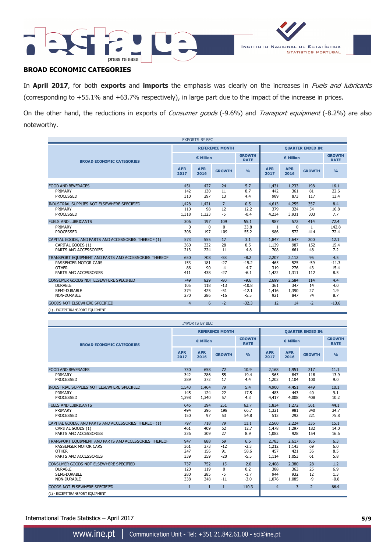



# **BROAD ECONOMIC CATEGORIES**

In **April 2017**, for both **exports** and **imports** the emphasis was clearly on the increases in Fuels and lubricants (corresponding to +55.1% and +63.7% respectively), in large part due to the impact of the increase in prices.

On the other hand, the reductions in exports of Consumer goods (-9.6%) and Transport equipment (-8.2%) are also noteworthy.

| <b>EXPORTS BY BEC</b>                                         |                    |                        |                         |                              |                     |                          |                    |                              |  |
|---------------------------------------------------------------|--------------------|------------------------|-------------------------|------------------------------|---------------------|--------------------------|--------------------|------------------------------|--|
|                                                               |                    | <b>REFERENCE MONTH</b> |                         |                              |                     | <b>QUARTER ENDED IN:</b> |                    |                              |  |
| <b>BROAD ECONOMIC CATEGORIES</b>                              | € Million          |                        |                         | <b>GROWTH</b><br><b>RATE</b> | € Million           |                          |                    | <b>GROWTH</b><br><b>RATE</b> |  |
|                                                               | <b>APR</b><br>2017 | <b>APR</b><br>2016     | <b>GROWTH</b>           | O <sub>0</sub>               | <b>APR</b><br>2017  | <b>APR</b><br>2016       | <b>GROWTH</b>      | O <sub>0</sub>               |  |
| <b>FOOD AND BEVERAGES</b>                                     | 451                | 427                    | 24                      | 5.7                          | 1,431               | 1,233                    | 198                | 16.1                         |  |
| PRIMARY<br><b>PROCESSED</b>                                   | 142<br>310         | 130<br>297             | 11<br>13                | 8.7<br>4.4                   | 442<br>989          | 361<br>873               | 81<br>117          | 22.6<br>13.4                 |  |
| INDUSTRIAL SUPPLIES NOT ELSEWHERE SPECIFIED                   | 1,428              | 1.421                  | $\overline{7}$          | 0.5                          | 4,613               | 4,255                    | 357                | 8.4                          |  |
| PRIMARY<br><b>PROCESSED</b>                                   | 110<br>1,318       | 98<br>1,323            | 12<br>$-5$              | 12.2<br>$-0.4$               | 379<br>4,234        | 324<br>3,931             | 54<br>303          | 16.8<br>7.7                  |  |
| <b>FUELS AND LUBRICANTS</b>                                   | 306                | 197                    | 109                     | 55.1                         | 987                 | 572                      | 414                | 72.4                         |  |
| PRIMARY<br><b>PROCESSED</b>                                   | 0<br>306           | $\Omega$<br>197        | $\Omega$<br>109         | 33.8<br>55.2                 | 1<br>986            | $\Omega$<br>572          | 1<br>414           | 142.8<br>72.4                |  |
| CAPITAL GOODS, AND PARTS AND ACCESSORIES THEREOF (1)          | 573                | 555                    | 17                      | 3.1                          | 1.847               | 1,647                    | 200                | 12.1                         |  |
| CAPITAL GOODS (1)<br>PARTS AND ACCESSORIES                    | 360<br>213         | 332<br>224             | 28<br>$-11$             | 8.5<br>$-4.8$                | 1,139<br>708        | 987<br>661               | 152<br>48          | 15.4<br>7.2                  |  |
| TRANSPORT EQUIPMENT AND PARTS AND ACCESSORIES THEREOF         | 650                | 708                    | $-58$                   | $-8.2$                       | 2,207               | 2,112                    | 95                 | 4.5                          |  |
| PASSENGER MOTOR CARS<br><b>OTHER</b><br>PARTS AND ACCESSORIES | 153<br>86<br>411   | 181<br>90<br>438       | $-27$<br>$-4$<br>$-27$  | $-15.2$<br>$-4.7$<br>$-6.1$  | 465<br>319<br>1,422 | 525<br>276<br>1,311      | $-59$<br>43<br>112 | $-11.3$<br>15.4<br>8.5       |  |
| CONSUMER GOODS NOT ELSEWHERE SPECIFIED                        | 749                | 829                    | $-80$                   | $-9.6$                       | 2,699               | 2,584                    | 114                | 4.4                          |  |
| <b>DURABLE</b><br>SEMI-DURABLE<br><b>NON-DURABLE</b>          | 105<br>374<br>270  | 118<br>425<br>286      | $-13$<br>$-51$<br>$-16$ | $-10.8$<br>$-12.1$<br>$-5.5$ | 361<br>1,416<br>921 | 347<br>1,390<br>847      | 14<br>27<br>74     | 4.0<br>1.9<br>8.7            |  |
| <b>GOODS NOT ELSEWHERE SPECIFIED</b>                          | $\overline{4}$     | 6                      | $-2$                    | $-32.3$                      | 12                  | 14                       | $-2$               | $-13.6$                      |  |
| (1) - EXCEPT TRANSPORT EQUIPMENT                              |                    |                        |                         |                              |                     |                          |                    |                              |  |

|                                                                          |                    | <b>IMPORTS BY BEC</b>  |               |                              |                    |                          |                |                              |  |
|--------------------------------------------------------------------------|--------------------|------------------------|---------------|------------------------------|--------------------|--------------------------|----------------|------------------------------|--|
|                                                                          |                    | <b>REFERENCE MONTH</b> |               |                              |                    | <b>QUARTER ENDED IN:</b> |                |                              |  |
| <b>BROAD ECONOMIC CATEGORIES</b>                                         | € Million          |                        |               | <b>GROWTH</b><br><b>RATE</b> | € Million          |                          |                | <b>GROWTH</b><br><b>RATE</b> |  |
|                                                                          | <b>APR</b><br>2017 | <b>APR</b><br>2016     | <b>GROWTH</b> | O <sub>0</sub>               | <b>APR</b><br>2017 | <b>APR</b><br>2016       | <b>GROWTH</b>  | $\frac{9}{6}$                |  |
| <b>FOOD AND BEVERAGES</b>                                                | 730                | 658                    | 72            | 10.9                         | 2.168              | 1.951                    | 217            | 11.1                         |  |
| PRIMARY                                                                  | 342                | 286                    | 55            | 19.4                         | 965                | 847                      | 118            | 13.9                         |  |
| <b>PROCESSED</b>                                                         | 389                | 372                    | 17            | 4.4                          | 1,203              | 1,104                    | 100            | 9.0                          |  |
| INDUSTRIAL SUPPLIES NOT ELSEWHERE SPECIFIED                              | 1.543              | 1.464                  | 79            | 5.4                          | 4,900              | 4.451                    | 449            | 10.1                         |  |
| PRIMARY                                                                  | 145                | 124                    | 22            | 17.5                         | 483                | 443                      | 40             | 9.1                          |  |
| <b>PROCESSED</b>                                                         | 1,398              | 1,340                  | 57            | 4.3                          | 4,417              | 4,008                    | 408            | 10.2                         |  |
| <b>FUELS AND LUBRICANTS</b>                                              | 645                | 394                    | 251           | 63.7                         | 1.834              | 1,272                    | 561            | 44.1                         |  |
| PRIMARY                                                                  | 494                | 296                    | 198           | 66.7                         | 1,321              | 981                      | 340            | 34.7                         |  |
| <b>PROCESSED</b>                                                         | 150                | 97                     | 53            | 54.8                         | 513                | 292                      | 221            | 75.8                         |  |
| CAPITAL GOODS, AND PARTS AND ACCESSORIES THEREOF (1)                     | 797                | 718                    | 79            | 11.1                         | 2,560              | 2,224                    | 336            | 15.1                         |  |
| CAPITAL GOODS (1)                                                        | 461                | 409                    | 52            | 12.7                         | 1,478              | 1,297                    | 182            | 14.0                         |  |
| PARTS AND ACCESSORIES                                                    | 336                | 309                    | 27            | 8.9                          | 1,082              | 928                      | 154            | 16.6                         |  |
| TRANSPORT EQUIPMENT AND PARTS AND ACCESSORIES THEREOF                    | 947                | 888                    | 59            | 6.6                          | 2,783              | 2.617                    | 166            | 6.3                          |  |
| PASSENGER MOTOR CARS                                                     | 361                | 373                    | $-12$         | $-3.3$                       | 1,212              | 1,143                    | 69             | 6.0                          |  |
| <b>OTHER</b>                                                             | 247                | 156                    | 91            | 58.6                         | 457                | 421                      | 36             | 8.5                          |  |
| PARTS AND ACCESSORIES                                                    | 339                | 359                    | $-20$         | $-5.5$                       | 1,114              | 1,053                    | 61             | 5.8                          |  |
| CONSUMER GOODS NOT ELSEWHERE SPECIFIED                                   | 737                | 752                    | $-15$         | $-2.0$                       | 2,408              | 2,380                    | 28             | 1.2                          |  |
| <b>DURABLE</b>                                                           | 120                | 119                    | $\Omega$      | 0.2                          | 388                | 363                      | 25             | 6.9                          |  |
| SEMI-DURABLE                                                             | 280                | 285                    | -5            | $-1.7$                       | 944                | 932                      | 12             | 1.3                          |  |
| <b>NON-DURABLE</b>                                                       | 338                | 348                    | $-11$         | $-3.0$                       | 1,076              | 1,085                    | $-9$           | $-0.8$                       |  |
| <b>GOODS NOT ELSEWHERE SPECIFIED</b><br>(1) - EXCEPT TRANSPORT EQUIPMENT | $\mathbf{1}$       | $\mathbf{1}$           | $\mathbf{1}$  | 110.3                        | $\overline{4}$     | 3                        | $\overline{2}$ | 66.4                         |  |

International Trade Statistics – April 2017 **5/9**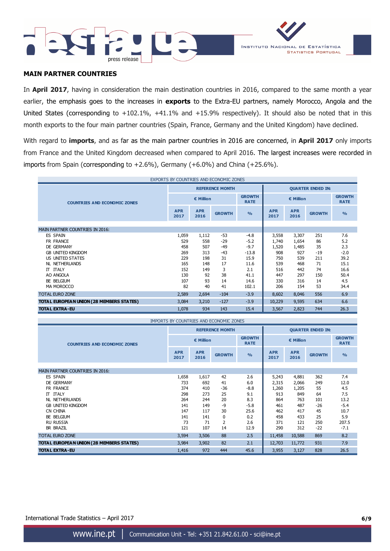



## **MAIN PARTNER COUNTRIES**

In **April 2017**, having in consideration the main destination countries in 2016, compared to the same month a year earlier, the emphasis goes to the increases in **exports** to the Extra-EU partners, namely Morocco, Angola and the United States (corresponding to +102.1%, +41.1% and +15.9% respectively). It should also be noted that in this month exports to the four main partner countries (Spain, France, Germany and the United Kingdom) have declined.

With regard to **imports**, and as far as the main partner countries in 2016 are concerned, in **April 2017** only imports from France and the United Kingdom decreased when compared to April 2016. The largest increases were recorded in imports from Spain (corresponding to  $+2.6\%$ ), Germany ( $+6.0\%$ ) and China ( $+25.6\%$ ).

| EXPORTS BY COUNTRIES AND ECONOMIC ZONES  |                    |                    |                        |                              |                          |                    |               |                              |
|------------------------------------------|--------------------|--------------------|------------------------|------------------------------|--------------------------|--------------------|---------------|------------------------------|
|                                          |                    |                    | <b>REFERENCE MONTH</b> |                              | <b>QUARTER ENDED IN:</b> |                    |               |                              |
| <b>COUNTRIES AND ECONOMIC ZONES</b>      | € Million          |                    |                        | <b>GROWTH</b><br><b>RATE</b> | € Million                |                    |               | <b>GROWTH</b><br><b>RATE</b> |
|                                          | <b>APR</b><br>2017 | <b>APR</b><br>2016 | <b>GROWTH</b>          | O <sub>0</sub>               | <b>APR</b><br>2017       | <b>APR</b><br>2016 | <b>GROWTH</b> | $\frac{0}{0}$                |
|                                          |                    |                    |                        |                              |                          |                    |               |                              |
| <b>MAIN PARTNER COUNTRIES IN 2016:</b>   |                    |                    |                        |                              |                          |                    |               |                              |
| ES SPAIN                                 | 1,059              | 1,112              | $-53$                  | $-4.8$                       | 3,558                    | 3,307              | 251           | 7.6                          |
| FR FRANCE                                | 529                | 558                | $-29$                  | $-5.2$                       | 1,740                    | 1,654              | 86            | 5.2                          |
| DE GERMANY                               | 458                | 507                | $-49$                  | $-9.7$                       | 1,520                    | 1,485              | 35            | 2.3                          |
| <b>GB UNITED KINGDOM</b>                 | 269                | 313                | $-43$                  | $-13.8$                      | 908                      | 927                | $-19$         | $-2.0$                       |
| US UNITED STATES                         | 229                | 198                | 31                     | 15.9                         | 750                      | 539                | 211           | 39.2                         |
| <b>NL NETHERLANDS</b>                    | 165                | 148                | 17                     | 11.6                         | 539                      | 468                | 71            | 15.1                         |
| IT ITALY                                 | 152                | 149                | 3                      | 2.1                          | 516                      | 442                | 74            | 16.6                         |
| AO ANGOLA                                | 130                | 92                 | 38                     | 41.1                         | 447                      | 297                | 150           | 50.4                         |
| BE BELGIUM                               | 107                | 93                 | 14                     | 14.6                         | 330                      | 316                | 14            | 4.5                          |
| MA MOROCCO                               | 82                 | 40                 | 41                     | 102.1                        | 206                      | 154                | 53            | 34.4                         |
| <b>TOTAL EURO ZONE</b>                   | 2,589              | 2,694              | $-104$                 | $-3.9$                       | 8,602                    | 8,046              | 556           | 6.9                          |
| TOTAL EUROPEAN UNION (28 MEMBERS STATES) | 3,084              | 3,210              | $-127$                 | $-3.9$                       | 10,229                   | 9,595              | 634           | 6.6                          |
| <b>TOTAL EXTRA-EU</b>                    | 1,078              | 934                | 143                    | 15.4                         | 3,567                    | 2,823              | 744           | 26.3                         |

| IMPORTS BY COUNTRIES AND ECONOMIC ZONES  |                    |                    |                        |                              |                          |                    |               |                              |
|------------------------------------------|--------------------|--------------------|------------------------|------------------------------|--------------------------|--------------------|---------------|------------------------------|
|                                          |                    |                    | <b>REFERENCE MONTH</b> |                              | <b>QUARTER ENDED IN:</b> |                    |               |                              |
| <b>COUNTRIES AND ECONOMIC ZONES</b>      | € Million          |                    |                        | <b>GROWTH</b><br><b>RATE</b> | € Million                |                    |               | <b>GROWTH</b><br><b>RATE</b> |
|                                          | <b>APR</b><br>2017 | <b>APR</b><br>2016 | <b>GROWTH</b>          | $\frac{0}{0}$                | <b>APR</b><br>2017       | <b>APR</b><br>2016 | <b>GROWTH</b> | $\frac{0}{0}$                |
| <b>MAIN PARTNER COUNTRIES IN 2016:</b>   |                    |                    |                        |                              |                          |                    |               |                              |
| ES SPAIN                                 | 1,658              | 1,617              | 42                     | 2.6                          | 5,243                    | 4,881              | 362           | 7.4                          |
| DE GERMANY                               | 733                | 692                | 41                     | 6.0                          | 2,315                    | 2,066              | 249           | 12.0                         |
| FR FRANCE                                | 374                | 410                | $-36$                  | $-8.8$                       | 1,260                    | 1,205              | 55            | 4.5                          |
| IT ITALY                                 | 298                | 273                | 25                     | 9.1                          | 913                      | 849                | 64            | 7.5                          |
| NL NETHERLANDS                           | 264                | 244                | 20                     | 8.3                          | 864                      | 763                | 101           | 13.2                         |
| <b>GB UNITED KINGDOM</b>                 | 141                | 149                | $-9$                   | $-5.8$                       | 461                      | 487                | $-26$         | $-5.4$                       |
| CN CHINA                                 | 147                | 117                | 30                     | 25.6                         | 462                      | 417                | 45            | 10.7                         |
| BE BELGIUM                               | 141                | 141                | $\Omega$               | 0.2                          | 458                      | 433                | 25            | 5.9                          |
| <b>RU RUSSIA</b>                         | 73                 | 71                 | 2                      | 2.6                          | 371                      | 121                | 250           | 207.5                        |
| <b>BR BRAZIL</b>                         | 121                | 107                | 14                     | 12.9                         | 290                      | 312                | $-22$         | $-7.1$                       |
| <b>TOTAL EURO ZONE</b>                   | 3,594              | 3,506              | 88                     | 2.5                          | 11,458                   | 10,588             | 869           | 8.2                          |
| TOTAL EUROPEAN UNION (28 MEMBERS STATES) | 3,984              | 3,902              | 82                     | 2.1                          | 12,703                   | 11,772             | 931           | 7.9                          |
| <b>TOTAL EXTRA-EU</b>                    | 1,416              | 972                | 444                    | 45.6                         | 3,955                    | 3,127              | 828           | 26.5                         |

International Trade Statistics – April 2017 **6/9**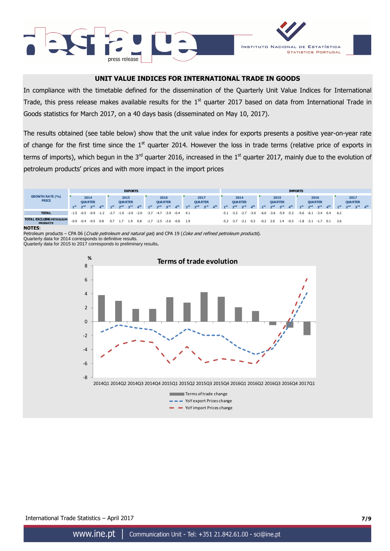



## **UNIT VALUE INDICES FOR INTERNATIONAL TRADE IN GOODS**

In compliance with the timetable defined for the dissemination of the Quarterly Unit Value Indices for International Trade, this press release makes available results for the  $1<sup>st</sup>$  quarter 2017 based on data from International Trade in Goods statistics for March 2017, on a 40 days basis (disseminated on May 10, 2017).

The results obtained (see table below) show that the unit value index for exports presents a positive year-on-year rate of change for the first time since the  $1<sup>st</sup>$  quarter 2014. However the loss in trade terms (relative price of exports in terms of imports), which begun in the  $3^{rd}$  quarter 2016, increased in the  $1^{st}$  quarter 2017, mainly due to the evolution of petroleum products' prices and with more impact in the import prices



**NOTES**:

Petroleum products – CPA 06 (Crude petroleum and natural gas) and CPA 19 (Coke and refined petroleum products).

Quarterly data for 2014 corresponds to definitive results. Quarterly data for 2015 to 2017 corresponds to preliminary results**.** 

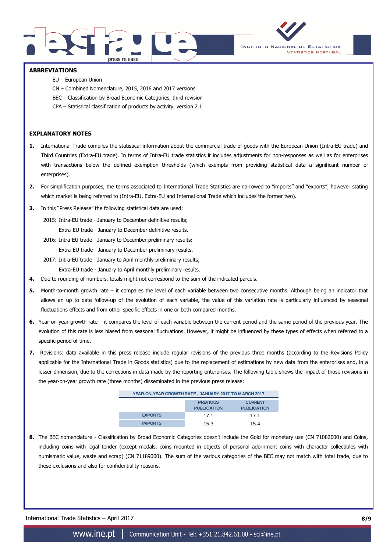



#### **ABBREVIATIONS**

- EU European Union
- CN Combined Nomenclature, 2015, 2016 and 2017 versions
- BEC Classification by Broad Economic Categories, third revision
- CPA Statistical classification of products by activity, version 2.1

#### **EXPLANATORY NOTES**

- **1.** International Trade compiles the statistical information about the commercial trade of goods with the European Union (Intra-EU trade) and Third Countries (Extra-EU trade). In terms of Intra-EU trade statistics it includes adjustments for non-responses as well as for enterprises with transactions below the defined exemption thresholds (which exempts from providing statistical data a significant number of enterprises).
- **2.** For simplification purposes, the terms associated to International Trade Statistics are narrowed to "imports" and "exports", however stating which market is being referred to (Intra-EU, Extra-EU and International Trade which includes the former two).
- **3.** In this "Press Release" the following statistical data are used:
	- 2015: Intra-EU trade January to December definitive results; Extra-EU trade - January to December definitive results.
	- 2016: Intra-EU trade January to December preliminary results; Extra-EU trade - January to December preliminary results.
	- 2017: Intra-EU trade January to April monthly preliminary results;

Extra-EU trade - January to April monthly preliminary results.

- **4.** Due to rounding of numbers, totals might not correspond to the sum of the indicated parcels.
- **5.** Month-to-month growth rate it compares the level of each variable between two consecutive months. Although being an indicator that allows an up to date follow-up of the evolution of each variable, the value of this variation rate is particularly influenced by seasonal fluctuations effects and from other specific effects in one or both compared months.
- **6.** Year-on-year growth rate it compares the level of each variable between the current period and the same period of the previous year. The evolution of this rate is less biased from seasonal fluctuations. However, it might be influenced by these types of effects when referred to a specific period of time.
- **7.** Revisions: data available in this press release include regular revisions of the previous three months (according to the Revisions Policy applicable for the International Trade in Goods statistics) due to the replacement of estimations by new data from the enterprises and, in a lesser dimension, due to the corrections in data made by the reporting enterprises. The following table shows the impact of those revisions in the year-on-year growth rate (three months) disseminated in the previous press release:

| YEAR-ON-YEAR GROWTH RATE - JANUARY 2017 TO MARCH 2017 |                                       |                                      |  |  |  |  |  |  |
|-------------------------------------------------------|---------------------------------------|--------------------------------------|--|--|--|--|--|--|
|                                                       | <b>PREVIOUS</b><br><b>PUBLICATION</b> | <b>CURRENT</b><br><b>PUBLICATION</b> |  |  |  |  |  |  |
| <b>EXPORTS</b>                                        | 17.1                                  | 17.1                                 |  |  |  |  |  |  |
| <b>IMPORTS</b>                                        | 15.3                                  | 154                                  |  |  |  |  |  |  |

**8.** The BEC nomenclature - Classification by Broad Economic Categories doesn't include the Gold for monetary use (CN 71082000) and Coins, including coins with legal tender (except medals, coins mounted in objects of personal adornment coins with character collectibles with numismatic value, waste and scrap) (CN 71189000). The sum of the various categories of the BEC may not match with total trade, due to these exclusions and also for confidentiality reasons.

International Trade Statistics – April 2017 **8/9**